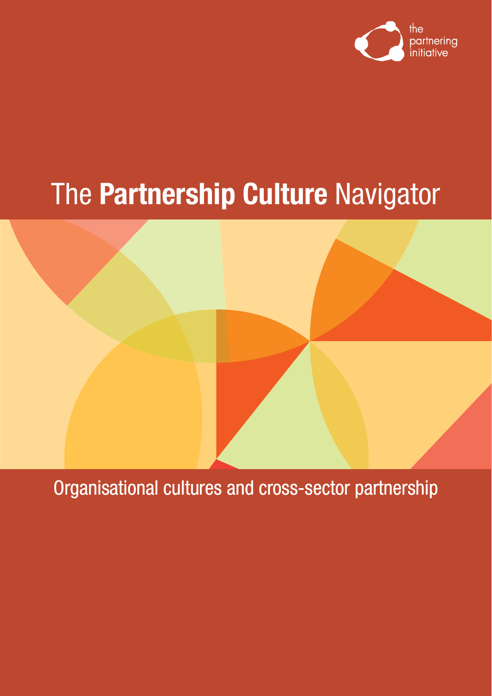

# The **Partnership Culture** Navigator



Organisational cultures and cross-sector partnership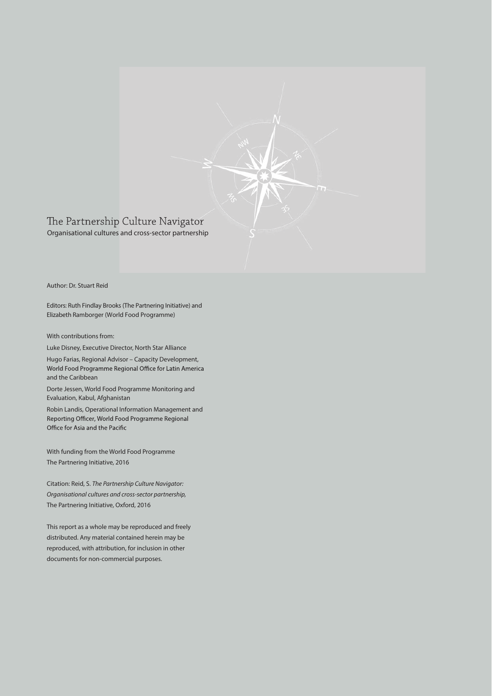

### Author: Dr. Stuart Reid

Editors: Ruth Findlay Brooks (The Partnering Initiative) and Elizabeth Ramborger (World Food Programme)

With contributions from:

Luke Disney, Executive Director, North Star Alliance

Hugo Farias, Regional Advisor – Capacity Development, World Food Programme Regional Office for Latin America and the Caribbean

Dorte Jessen, World Food Programme Monitoring and Evaluation, Kabul, Afghanistan

Robin Landis, Operational Information Management and Reporting Officer, World Food Programme Regional Office for Asia and the Pacific

With funding from the World Food Programme The Partnering Initiative, 2016

Citation: Reid, S. *The Partnership Culture Navigator: Organisational cultures and cross-sector partnership,* The Partnering Initiative, Oxford, 2016

This report as a whole may be reproduced and freely distributed. Any material contained herein may be reproduced, with attribution, for inclusion in other documents for non-commercial purposes.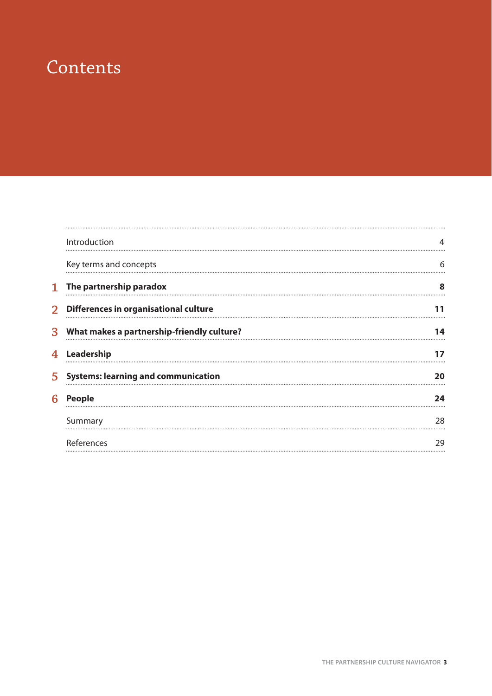### **Contents**

|    | Introduction                               |    |
|----|--------------------------------------------|----|
|    | Key terms and concepts                     | 6  |
| 1  | The partnership paradox                    | 8  |
|    | 2 Differences in organisational culture    |    |
| 3  | What makes a partnership-friendly culture? | 14 |
| 4  | Leadership                                 |    |
| 5. | <b>Systems: learning and communication</b> | 20 |
| 6  | <b>People</b>                              | 24 |
|    | Summary                                    | 28 |
|    | References                                 | 29 |
|    |                                            |    |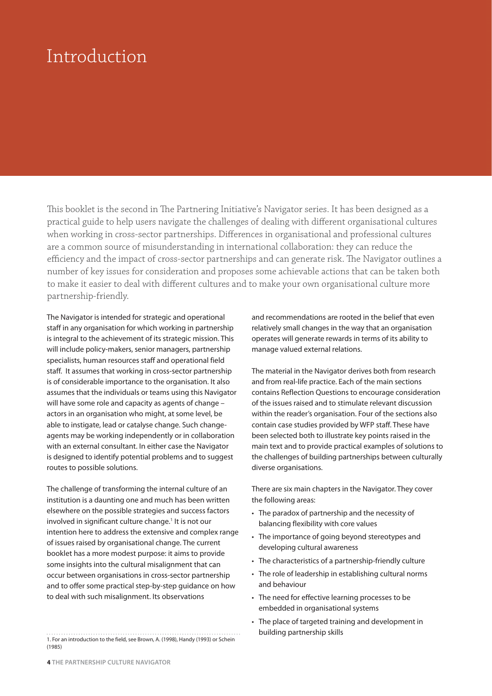### Introduction

This booklet is the second in The Partnering Initiative's Navigator series. It has been designed as a practical guide to help users navigate the challenges of dealing with different organisational cultures when working in cross-sector partnerships. Differences in organisational and professional cultures are a common source of misunderstanding in international collaboration: they can reduce the efficiency and the impact of cross-sector partnerships and can generate risk. The Navigator outlines a number of key issues for consideration and proposes some achievable actions that can be taken both to make it easier to deal with different cultures and to make your own organisational culture more partnership-friendly.

The Navigator is intended for strategic and operational staff in any organisation for which working in partnership is integral to the achievement of its strategic mission. This will include policy-makers, senior managers, partnership specialists, human resources staff and operational field staff. It assumes that working in cross-sector partnership is of considerable importance to the organisation. It also assumes that the individuals or teams using this Navigator will have some role and capacity as agents of change – actors in an organisation who might, at some level, be able to instigate, lead or catalyse change. Such changeagents may be working independently or in collaboration with an external consultant. In either case the Navigator is designed to identify potential problems and to suggest routes to possible solutions.

The challenge of transforming the internal culture of an institution is a daunting one and much has been written elsewhere on the possible strategies and success factors involved in significant culture change.<sup>1</sup> It is not our intention here to address the extensive and complex range of issues raised by organisational change. The current booklet has a more modest purpose: it aims to provide some insights into the cultural misalignment that can occur between organisations in cross-sector partnership and to offer some practical step-by-step guidance on how to deal with such misalignment. Its observations

and recommendations are rooted in the belief that even relatively small changes in the way that an organisation operates will generate rewards in terms of its ability to manage valued external relations.

The material in the Navigator derives both from research and from real-life practice. Each of the main sections contains Reflection Questions to encourage consideration of the issues raised and to stimulate relevant discussion within the reader's organisation. Four of the sections also contain case studies provided by WFP staff. These have been selected both to illustrate key points raised in the main text and to provide practical examples of solutions to the challenges of building partnerships between culturally diverse organisations.

There are six main chapters in the Navigator. They cover the following areas:

- The paradox of partnership and the necessity of balancing flexibility with core values
- The importance of going beyond stereotypes and developing cultural awareness
- The characteristics of a partnership-friendly culture
- The role of leadership in establishing cultural norms and behaviour
- The need for effective learning processes to be embedded in organisational systems
- The place of targeted training and development in building partnership skills

<sup>1.</sup> For an introduction to the field, see Brown, A. (1998), Handy (1993) or Schein (1985)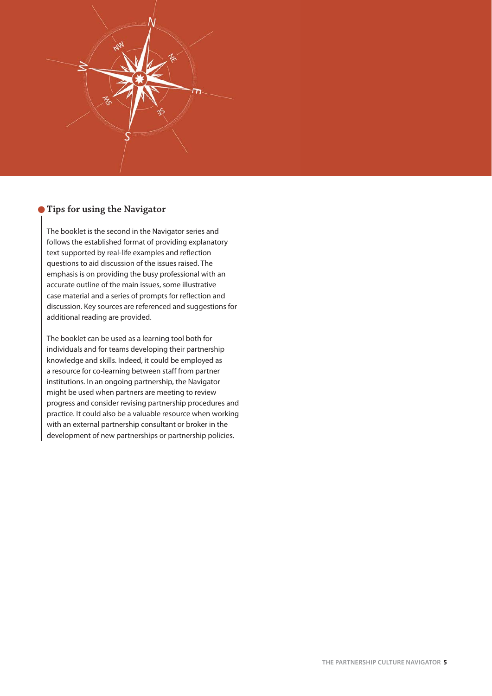

### **Tips for using the Navigator**

The booklet is the second in the Navigator series and follows the established format of providing explanatory text supported by real-life examples and reflection questions to aid discussion of the issues raised. The emphasis is on providing the busy professional with an accurate outline of the main issues, some illustrative case material and a series of prompts for reflection and discussion. Key sources are referenced and suggestions for additional reading are provided.

The booklet can be used as a learning tool both for individuals and for teams developing their partnership knowledge and skills. Indeed, it could be employed as a resource for co-learning between staff from partner institutions. In an ongoing partnership, the Navigator might be used when partners are meeting to review progress and consider revising partnership procedures and practice. It could also be a valuable resource when working with an external partnership consultant or broker in the development of new partnerships or partnership policies.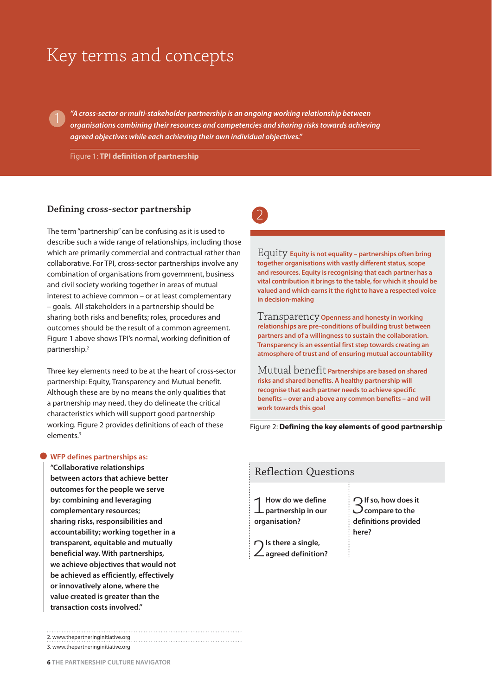### Key terms and concepts

*"A cross-sector or multi-stakeholder partnership is an ongoing working relationship between organisations combining their resources and competencies and sharing risks towards achieving agreed objectives while each achieving their own individual objectives."*

Figure 1: **TPI definition of partnership**

#### **Defining cross-sector partnership**

1

The term "partnership" can be confusing as it is used to describe such a wide range of relationships, including those which are primarily commercial and contractual rather than collaborative. For TPI, cross-sector partnerships involve any combination of organisations from government, business and civil society working together in areas of mutual interest to achieve common – or at least complementary – goals. All stakeholders in a partnership should be sharing both risks and benefits; roles, procedures and outcomes should be the result of a common agreement. Figure 1 above shows TPI's normal, working definition of partnership.2

Three key elements need to be at the heart of cross-sector partnership: Equity, Transparency and Mutual benefit. Although these are by no means the only qualities that a partnership may need, they do delineate the critical characteristics which will support good partnership working. Figure 2 provides definitions of each of these elements.<sup>3</sup>

#### **WFP defines partnerships as:**

**"Collaborative relationships between actors that achieve better outcomes for the people we serve by: combining and leveraging complementary resources; sharing risks, responsibilities and accountability; working together in a transparent, equitable and mutually beneficial way. With partnerships, we achieve objectives that would not be achieved as efficiently, effectively or innovatively alone, where the value created is greater than the transaction costs involved."**

2. www.thepartneringinitiative.org

3. www.thepartneringinitiative.org



Equity **Equity is not equality – partnerships often bring together organisations with vastly different status, scope and resources. Equity is recognising that each partner has a vital contribution it brings to the table, for which it should be valued and which earns it the right to have a respected voice in decision-making** 

Transparency **Openness and honesty in working relationships are pre-conditions of building trust between partners and of a willingness to sustain the collaboration. Transparency is an essential first step towards creating an atmosphere of trust and of ensuring mutual accountability**

Mutual benefit **Partnerships are based on shared risks and shared benefits. A healthy partnership will recognise that each partner needs to achieve specific benefits – over and above any common benefits – and will work towards this goal**

Figure 2: **Defining the key elements of good partnership**

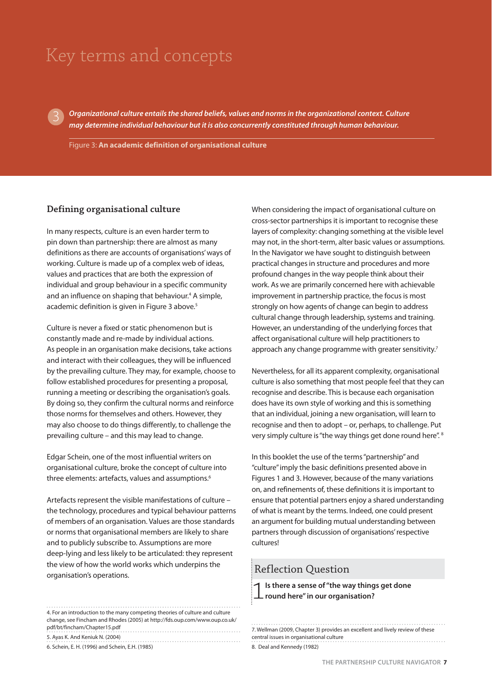### Key terms and concepts

*Organizational culture entails the shared beliefs, values and norms in the organizational context. Culture may determine individual behaviour but it is also concurrently constituted through human behaviour.*

Figure 3: **An academic definition of organisational culture**

#### **Defining organisational culture**

3

In many respects, culture is an even harder term to pin down than partnership: there are almost as many definitions as there are accounts of organisations' ways of working. Culture is made up of a complex web of ideas, values and practices that are both the expression of individual and group behaviour in a specific community and an influence on shaping that behaviour.<sup>4</sup> A simple, academic definition is given in Figure 3 above.<sup>5</sup>

Culture is never a fixed or static phenomenon but is constantly made and re-made by individual actions. As people in an organisation make decisions, take actions and interact with their colleagues, they will be influenced by the prevailing culture. They may, for example, choose to follow established procedures for presenting a proposal, running a meeting or describing the organisation's goals. By doing so, they confirm the cultural norms and reinforce those norms for themselves and others. However, they may also choose to do things differently, to challenge the prevailing culture – and this may lead to change.

Edgar Schein, one of the most influential writers on organisational culture, broke the concept of culture into three elements: artefacts, values and assumptions.<sup>6</sup>

Artefacts represent the visible manifestations of culture – the technology, procedures and typical behaviour patterns of members of an organisation. Values are those standards or norms that organisational members are likely to share and to publicly subscribe to. Assumptions are more deep-lying and less likely to be articulated: they represent the view of how the world works which underpins the organisation's operations.

4. For an introduction to the many competing theories of culture and culture change, see Fincham and Rhodes (2005) at http://fds.oup.com/www.oup.co.uk/ pdf/bt/fincham/Chapter15.pdf 5. Ayas K. And Keniuk N. (2004)

6. Schein, E. H. (1996) and Schein, E.H. (1985)

When considering the impact of organisational culture on cross-sector partnerships it is important to recognise these layers of complexity: changing something at the visible level may not, in the short-term, alter basic values or assumptions. In the Navigator we have sought to distinguish between practical changes in structure and procedures and more profound changes in the way people think about their work. As we are primarily concerned here with achievable improvement in partnership practice, the focus is most strongly on how agents of change can begin to address cultural change through leadership, systems and training. However, an understanding of the underlying forces that affect organisational culture will help practitioners to approach any change programme with greater sensitivity.<sup>7</sup>

Nevertheless, for all its apparent complexity, organisational culture is also something that most people feel that they can recognise and describe. This is because each organisation does have its own style of working and this is something that an individual, joining a new organisation, will learn to recognise and then to adopt – or, perhaps, to challenge. Put very simply culture is "the way things get done round here". <sup>8</sup>

In this booklet the use of the terms "partnership" and "culture" imply the basic definitions presented above in Figures 1 and 3. However, because of the many variations on, and refinements of, these definitions it is important to ensure that potential partners enjoy a shared understanding of what is meant by the terms. Indeed, one could present an argument for building mutual understanding between partners through discussion of organisations' respective cultures!

### Reflection Question

1**Is there a sense of "the way things get done round here" in our organisation?**

| 7. Wellman (2009, Chapter 3) provides an excellent and lively review of these |
|-------------------------------------------------------------------------------|
| central issues in organisational culture                                      |
| 8. Deal and Kennedy (1982)                                                    |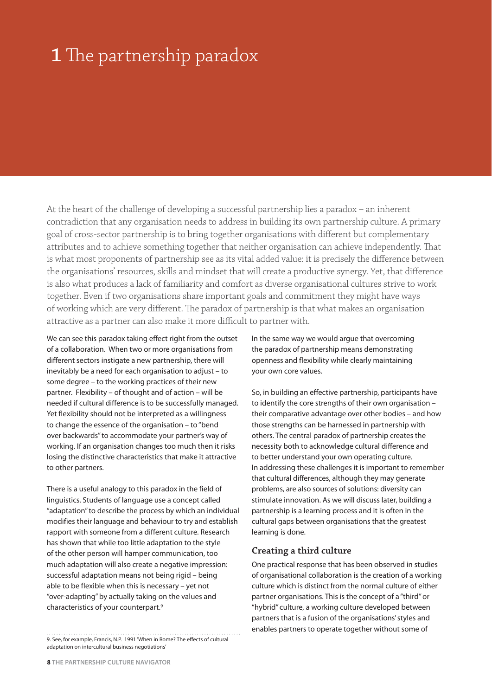## **1** The partnership paradox

At the heart of the challenge of developing a successful partnership lies a paradox – an inherent contradiction that any organisation needs to address in building its own partnership culture. A primary goal of cross-sector partnership is to bring together organisations with different but complementary attributes and to achieve something together that neither organisation can achieve independently. That is what most proponents of partnership see as its vital added value: it is precisely the difference between the organisations' resources, skills and mindset that will create a productive synergy. Yet, that difference is also what produces a lack of familiarity and comfort as diverse organisational cultures strive to work together. Even if two organisations share important goals and commitment they might have ways of working which are very different. The paradox of partnership is that what makes an organisation attractive as a partner can also make it more difficult to partner with.

We can see this paradox taking effect right from the outset of a collaboration. When two or more organisations from different sectors instigate a new partnership, there will inevitably be a need for each organisation to adjust – to some degree – to the working practices of their new partner. Flexibility – of thought and of action – will be needed if cultural difference is to be successfully managed. Yet flexibility should not be interpreted as a willingness to change the essence of the organisation – to "bend over backwards" to accommodate your partner's way of working. If an organisation changes too much then it risks losing the distinctive characteristics that make it attractive to other partners.

There is a useful analogy to this paradox in the field of linguistics. Students of language use a concept called "adaptation" to describe the process by which an individual modifies their language and behaviour to try and establish rapport with someone from a different culture. Research has shown that while too little adaptation to the style of the other person will hamper communication, too much adaptation will also create a negative impression: successful adaptation means not being rigid – being able to be flexible when this is necessary – yet not "over-adapting" by actually taking on the values and characteristics of your counterpart.9

In the same way we would argue that overcoming the paradox of partnership means demonstrating openness and flexibility while clearly maintaining your own core values.

So, in building an effective partnership, participants have to identify the core strengths of their own organisation – their comparative advantage over other bodies – and how those strengths can be harnessed in partnership with others. The central paradox of partnership creates the necessity both to acknowledge cultural difference and to better understand your own operating culture. In addressing these challenges it is important to remember that cultural differences, although they may generate problems, are also sources of solutions: diversity can stimulate innovation. As we will discuss later, building a partnership is a learning process and it is often in the cultural gaps between organisations that the greatest learning is done.

#### **Creating a third culture**

One practical response that has been observed in studies of organisational collaboration is the creation of a working culture which is distinct from the normal culture of either partner organisations. This is the concept of a "third" or "hybrid" culture, a working culture developed between partners that is a fusion of the organisations' styles and enables partners to operate together without some of

<sup>9.</sup> See, for example, Francis, N.P. 1991 'When in Rome? The effects of cultural adaptation on intercultural business negotiations'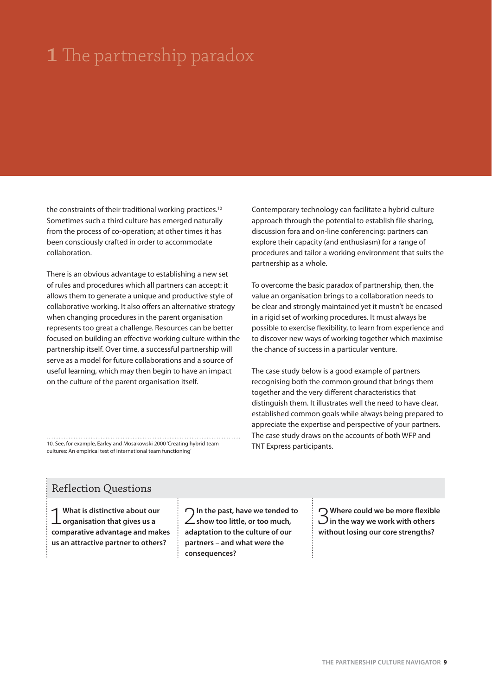# **1** The partnership paradox

the constraints of their traditional working practices.<sup>10</sup> Sometimes such a third culture has emerged naturally from the process of co-operation; at other times it has been consciously crafted in order to accommodate collaboration.

There is an obvious advantage to establishing a new set of rules and procedures which all partners can accept: it allows them to generate a unique and productive style of collaborative working. It also offers an alternative strategy when changing procedures in the parent organisation represents too great a challenge. Resources can be better focused on building an effective working culture within the partnership itself. Over time, a successful partnership will serve as a model for future collaborations and a source of useful learning, which may then begin to have an impact on the culture of the parent organisation itself.

10. See, for example, Earley and Mosakowski 2000 'Creating hybrid team cultures: An empirical test of international team functioning'

Contemporary technology can facilitate a hybrid culture approach through the potential to establish file sharing, discussion fora and on-line conferencing: partners can explore their capacity (and enthusiasm) for a range of procedures and tailor a working environment that suits the partnership as a whole.

To overcome the basic paradox of partnership, then, the value an organisation brings to a collaboration needs to be clear and strongly maintained yet it mustn't be encased in a rigid set of working procedures. It must always be possible to exercise flexibility, to learn from experience and to discover new ways of working together which maximise the chance of success in a particular venture.

The case study below is a good example of partners recognising both the common ground that brings them together and the very different characteristics that distinguish them. It illustrates well the need to have clear, established common goals while always being prepared to appreciate the expertise and perspective of your partners. The case study draws on the accounts of both WFP and TNT Express participants.

### Reflection Questions

1**What is distinctive about our organisation that gives us a comparative advantage and makes us an attractive partner to others?** 

2**In the past, have we tended to show too little, or too much, adaptation to the culture of our partners – and what were the consequences?**

3**Where could we be more flexible in the way we work with others without losing our core strengths?**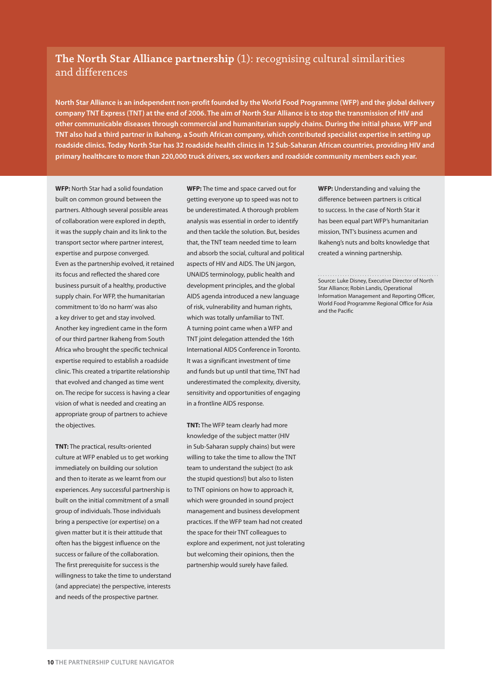### **The North Star Alliance partnership** (1): recognising cultural similarities and differences

**North Star Alliance is an independent non-profit founded by the World Food Programme (WFP) and the global delivery company TNT Express (TNT) at the end of 2006. The aim of North Star Alliance is to stop the transmission of HIV and other communicable diseases through commercial and humanitarian supply chains. During the initial phase, WFP and TNT also had a third partner in Ikaheng, a South African company, which contributed specialist expertise in setting up roadside clinics. Today North Star has 32 roadside health clinics in 12 Sub-Saharan African countries, providing HIV and primary healthcare to more than 220,000 truck drivers, sex workers and roadside community members each year.**

**WFP:** North Star had a solid foundation built on common ground between the partners. Although several possible areas of collaboration were explored in depth, it was the supply chain and its link to the transport sector where partner interest, expertise and purpose converged. Even as the partnership evolved, it retained its focus and reflected the shared core business pursuit of a healthy, productive supply chain. For WFP, the humanitarian commitment to 'do no harm' was also a key driver to get and stay involved. Another key ingredient came in the form of our third partner Ikaheng from South Africa who brought the specific technical expertise required to establish a roadside clinic. This created a tripartite relationship that evolved and changed as time went on. The recipe for success is having a clear vision of what is needed and creating an appropriate group of partners to achieve the objectives.

**TNT:** The practical, results-oriented culture at WFP enabled us to get working immediately on building our solution and then to iterate as we learnt from our experiences. Any successful partnership is built on the initial commitment of a small group of individuals. Those individuals bring a perspective (or expertise) on a given matter but it is their attitude that often has the biggest influence on the success or failure of the collaboration. The first prerequisite for success is the willingness to take the time to understand (and appreciate) the perspective, interests and needs of the prospective partner.

**WFP:** The time and space carved out for getting everyone up to speed was not to be underestimated. A thorough problem analysis was essential in order to identify and then tackle the solution. But, besides that, the TNT team needed time to learn and absorb the social, cultural and political aspects of HIV and AIDS. The UN jargon, UNAIDS terminology, public health and development principles, and the global AIDS agenda introduced a new language of risk, vulnerability and human rights, which was totally unfamiliar to TNT. A turning point came when a WFP and TNT joint delegation attended the 16th International AIDS Conference in Toronto. It was a significant investment of time and funds but up until that time, TNT had underestimated the complexity, diversity, sensitivity and opportunities of engaging in a frontline AIDS response.

**TNT:** The WFP team clearly had more knowledge of the subject matter (HIV in Sub-Saharan supply chains) but were willing to take the time to allow the TNT team to understand the subject (to ask the stupid questions!) but also to listen to TNT opinions on how to approach it, which were grounded in sound project management and business development practices. If the WFP team had not created the space for their TNT colleagues to explore and experiment, not just tolerating but welcoming their opinions, then the partnership would surely have failed.

**WFP:** Understanding and valuing the difference between partners is critical to success. In the case of North Star it has been equal part WFP's humanitarian mission, TNT's business acumen and Ikaheng's nuts and bolts knowledge that created a winning partnership.

Source: Luke Disney, Executive Director of North Star Alliance; Robin Landis, Operational Information Management and Reporting Officer, World Food Programme Regional Office for Asia and the Pacific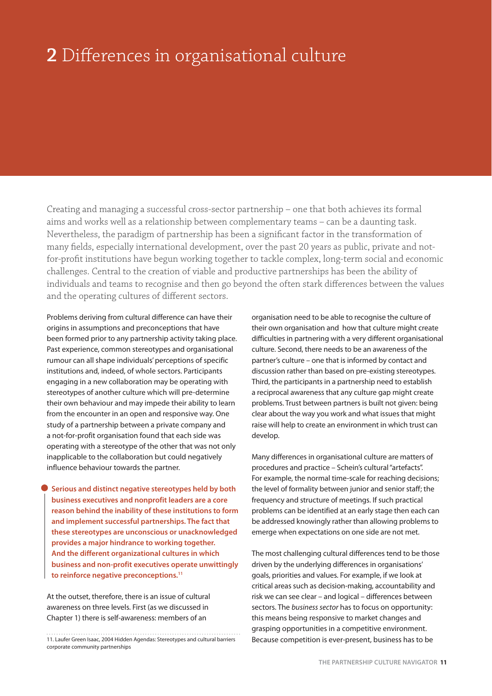### **2** Differences in organisational culture

Creating and managing a successful cross-sector partnership – one that both achieves its formal aims and works well as a relationship between complementary teams – can be a daunting task. Nevertheless, the paradigm of partnership has been a significant factor in the transformation of many fields, especially international development, over the past 20 years as public, private and notfor-profit institutions have begun working together to tackle complex, long-term social and economic challenges. Central to the creation of viable and productive partnerships has been the ability of individuals and teams to recognise and then go beyond the often stark differences between the values and the operating cultures of different sectors.

Problems deriving from cultural difference can have their origins in assumptions and preconceptions that have been formed prior to any partnership activity taking place. Past experience, common stereotypes and organisational rumour can all shape individuals' perceptions of specific institutions and, indeed, of whole sectors. Participants engaging in a new collaboration may be operating with stereotypes of another culture which will pre-determine their own behaviour and may impede their ability to learn from the encounter in an open and responsive way. One study of a partnership between a private company and a not-for-profit organisation found that each side was operating with a stereotype of the other that was not only inapplicable to the collaboration but could negatively influence behaviour towards the partner.

**Serious and distinct negative stereotypes held by both business executives and nonprofit leaders are a core reason behind the inability of these institutions to form and implement successful partnerships. The fact that these stereotypes are unconscious or unacknowledged provides a major hindrance to working together. And the different organizational cultures in which business and non-profit executives operate unwittingly to reinforce negative preconceptions.11**

At the outset, therefore, there is an issue of cultural awareness on three levels. First (as we discussed in Chapter 1) there is self-awareness: members of an

organisation need to be able to recognise the culture of their own organisation and how that culture might create difficulties in partnering with a very different organisational culture. Second, there needs to be an awareness of the partner's culture – one that is informed by contact and discussion rather than based on pre-existing stereotypes. Third, the participants in a partnership need to establish a reciprocal awareness that any culture gap might create problems. Trust between partners is built not given: being clear about the way you work and what issues that might raise will help to create an environment in which trust can develop.

Many differences in organisational culture are matters of procedures and practice – Schein's cultural "artefacts". For example, the normal time-scale for reaching decisions; the level of formality between junior and senior staff; the frequency and structure of meetings. If such practical problems can be identified at an early stage then each can be addressed knowingly rather than allowing problems to emerge when expectations on one side are not met.

The most challenging cultural differences tend to be those driven by the underlying differences in organisations' goals, priorities and values. For example, if we look at critical areas such as decision-making, accountability and risk we can see clear – and logical – differences between sectors. The business sector has to focus on opportunity: this means being responsive to market changes and grasping opportunities in a competitive environment. Because competition is ever-present, business has to be

<sup>11.</sup> Laufer Green Isaac, 2004 Hidden Agendas: Stereotypes and cultural barriers corporate community partnerships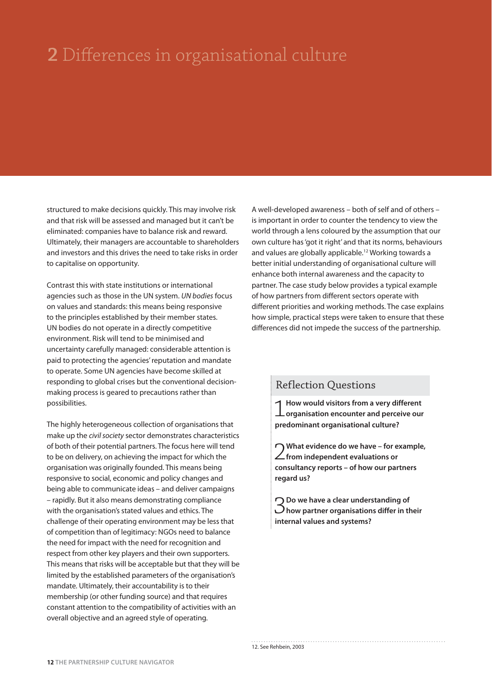# **2** Differences in organisational culture

structured to make decisions quickly. This may involve risk and that risk will be assessed and managed but it can't be eliminated: companies have to balance risk and reward. Ultimately, their managers are accountable to shareholders and investors and this drives the need to take risks in order to capitalise on opportunity.

Contrast this with state institutions or international agencies such as those in the UN system. UN bodies focus on values and standards: this means being responsive to the principles established by their member states. UN bodies do not operate in a directly competitive environment. Risk will tend to be minimised and uncertainty carefully managed: considerable attention is paid to protecting the agencies' reputation and mandate to operate. Some UN agencies have become skilled at responding to global crises but the conventional decisionmaking process is geared to precautions rather than possibilities.

The highly heterogeneous collection of organisations that make up the civil society sector demonstrates characteristics of both of their potential partners. The focus here will tend to be on delivery, on achieving the impact for which the organisation was originally founded. This means being responsive to social, economic and policy changes and being able to communicate ideas – and deliver campaigns – rapidly. But it also means demonstrating compliance with the organisation's stated values and ethics. The challenge of their operating environment may be less that of competition than of legitimacy: NGOs need to balance the need for impact with the need for recognition and respect from other key players and their own supporters. This means that risks will be acceptable but that they will be limited by the established parameters of the organisation's mandate. Ultimately, their accountability is to their membership (or other funding source) and that requires constant attention to the compatibility of activities with an overall objective and an agreed style of operating.

A well-developed awareness – both of self and of others – is important in order to counter the tendency to view the world through a lens coloured by the assumption that our own culture has 'got it right' and that its norms, behaviours and values are globally applicable.12 Working towards a better initial understanding of organisational culture will enhance both internal awareness and the capacity to partner. The case study below provides a typical example of how partners from different sectors operate with different priorities and working methods. The case explains how simple, practical steps were taken to ensure that these differences did not impede the success of the partnership.

### Reflection Questions

1**How would visitors from a very different organisation encounter and perceive our predominant organisational culture?**

2**What evidence do we have – for example, from independent evaluations or consultancy reports – of how our partners regard us?**

3**Do we have a clear understanding of how partner organisations differ in their internal values and systems?**

12. See Rehbein, 2003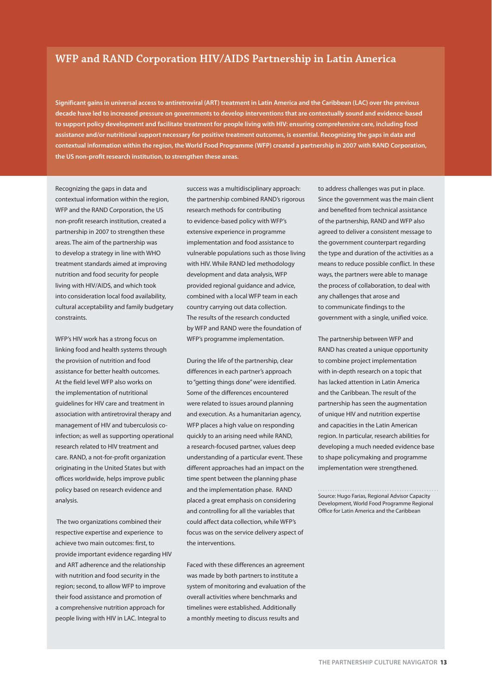### **WFP and RAND Corporation HIV/AIDS Partnership in Latin America**

**Significant gains in universal access to antiretroviral (ART) treatment in Latin America and the Caribbean (LAC) over the previous decade have led to increased pressure on governments to develop interventions that are contextually sound and evidence-based to support policy development and facilitate treatment for people living with HIV: ensuring comprehensive care, including food assistance and/or nutritional support necessary for positive treatment outcomes, is essential. Recognizing the gaps in data and contextual information within the region, the World Food Programme (WFP) created a partnership in 2007 with RAND Corporation, the US non-profit research institution, to strengthen these areas.**

Recognizing the gaps in data and contextual information within the region, WFP and the RAND Corporation, the US non-profit research institution, created a partnership in 2007 to strengthen these areas. The aim of the partnership was to develop a strategy in line with WHO treatment standards aimed at improving nutrition and food security for people living with HIV/AIDS, and which took into consideration local food availability, cultural acceptability and family budgetary constraints.

WFP's HIV work has a strong focus on linking food and health systems through the provision of nutrition and food assistance for better health outcomes. At the field level WFP also works on the implementation of nutritional guidelines for HIV care and treatment in association with antiretroviral therapy and management of HIV and tuberculosis coinfection; as well as supporting operational research related to HIV treatment and care. RAND, a not-for-profit organization originating in the United States but with offices worldwide, helps improve public policy based on research evidence and analysis.

 The two organizations combined their respective expertise and experience to achieve two main outcomes: first, to provide important evidence regarding HIV and ART adherence and the relationship with nutrition and food security in the region; second, to allow WFP to improve their food assistance and promotion of a comprehensive nutrition approach for people living with HIV in LAC. Integral to

success was a multidisciplinary approach: the partnership combined RAND's rigorous research methods for contributing to evidence-based policy with WFP's extensive experience in programme implementation and food assistance to vulnerable populations such as those living with HIV. While RAND led methodology development and data analysis, WFP provided regional guidance and advice, combined with a local WFP team in each country carrying out data collection. The results of the research conducted by WFP and RAND were the foundation of WFP's programme implementation.

During the life of the partnership, clear differences in each partner's approach to "getting things done" were identified. Some of the differences encountered were related to issues around planning and execution. As a humanitarian agency, WFP places a high value on responding quickly to an arising need while RAND, a research-focused partner, values deep understanding of a particular event. These different approaches had an impact on the time spent between the planning phase and the implementation phase. RAND placed a great emphasis on considering and controlling for all the variables that could affect data collection, while WFP's focus was on the service delivery aspect of the interventions.

Faced with these differences an agreement was made by both partners to institute a system of monitoring and evaluation of the overall activities where benchmarks and timelines were established. Additionally a monthly meeting to discuss results and

to address challenges was put in place. Since the government was the main client and benefited from technical assistance of the partnership, RAND and WFP also agreed to deliver a consistent message to the government counterpart regarding the type and duration of the activities as a means to reduce possible conflict. In these ways, the partners were able to manage the process of collaboration, to deal with any challenges that arose and to communicate findings to the government with a single, unified voice.

The partnership between WFP and RAND has created a unique opportunity to combine project implementation with in-depth research on a topic that has lacked attention in Latin America and the Caribbean. The result of the partnership has seen the augmentation of unique HIV and nutrition expertise and capacities in the Latin American region. In particular, research abilities for developing a much needed evidence base to shape policymaking and programme implementation were strengthened.

Source: Hugo Farias, Regional Advisor Capacity Development, World Food Programme Regional Office for Latin America and the Caribbean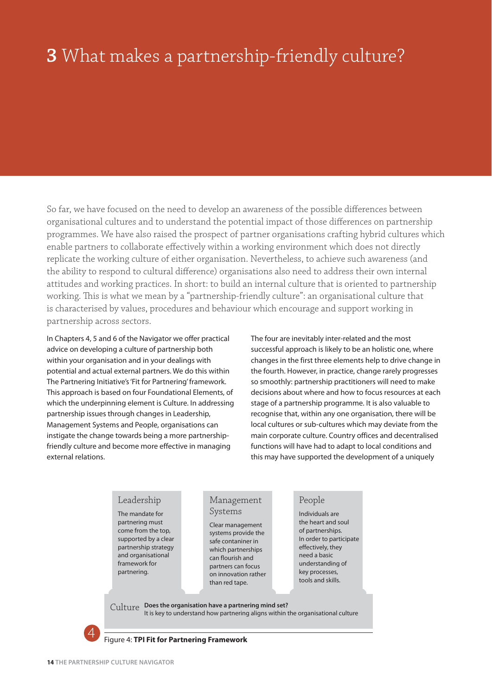# **3** What makes a partnership-friendly culture?

So far, we have focused on the need to develop an awareness of the possible differences between organisational cultures and to understand the potential impact of those differences on partnership programmes. We have also raised the prospect of partner organisations crafting hybrid cultures which enable partners to collaborate effectively within a working environment which does not directly replicate the working culture of either organisation. Nevertheless, to achieve such awareness (and the ability to respond to cultural difference) organisations also need to address their own internal attitudes and working practices. In short: to build an internal culture that is oriented to partnership working. This is what we mean by a "partnership-friendly culture": an organisational culture that is characterised by values, procedures and behaviour which encourage and support working in partnership across sectors.

In Chapters 4, 5 and 6 of the Navigator we offer practical advice on developing a culture of partnership both within your organisation and in your dealings with potential and actual external partners. We do this within The Partnering Initiative's 'Fit for Partnering' framework. This approach is based on four Foundational Elements, of which the underpinning element is Culture. In addressing partnership issues through changes in Leadership, Management Systems and People, organisations can instigate the change towards being a more partnershipfriendly culture and become more effective in managing external relations.

The four are inevitably inter-related and the most successful approach is likely to be an holistic one, where changes in the first three elements help to drive change in the fourth. However, in practice, change rarely progresses so smoothly: partnership practitioners will need to make decisions about where and how to focus resources at each stage of a partnership programme. It is also valuable to recognise that, within any one organisation, there will be local cultures or sub-cultures which may deviate from the main corporate culture. Country offices and decentralised functions will have had to adapt to local conditions and this may have supported the development of a uniquely

#### Leadership

The mandate for partnering must come from the top, supported by a clear partnership strategy and organisational framework for partnering.

#### Management Systems

Clear management systems provide the safe contaniner in which partnerships can flourish and partners can focus on innovation rather than red tape.

#### People

Individuals are the heart and soul of partnerships. In order to participate effectively, they need a basic understanding of key processes, tools and skills.

**Does the organisation have a partnering mind set?**  Culture It is key to understand how partnering aligns within the organisational culture



#### Figure 4: **TPI Fit for Partnering Framework**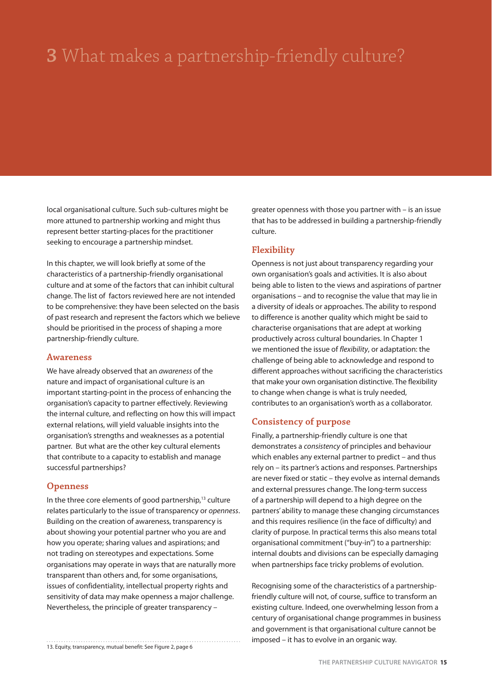# **3** What makes a partnership-friendly culture?

local organisational culture. Such sub-cultures might be more attuned to partnership working and might thus represent better starting-places for the practitioner seeking to encourage a partnership mindset.

In this chapter, we will look briefly at some of the characteristics of a partnership-friendly organisational culture and at some of the factors that can inhibit cultural change. The list of factors reviewed here are not intended to be comprehensive: they have been selected on the basis of past research and represent the factors which we believe should be prioritised in the process of shaping a more partnership-friendly culture.

#### **Awareness**

We have already observed that an *awareness* of the nature and impact of organisational culture is an important starting-point in the process of enhancing the organisation's capacity to partner effectively. Reviewing the internal culture, and reflecting on how this will impact external relations, will yield valuable insights into the organisation's strengths and weaknesses as a potential partner. But what are the other key cultural elements that contribute to a capacity to establish and manage successful partnerships?

#### **Openness**

In the three core elements of good partnership,<sup>13</sup> culture relates particularly to the issue of transparency or openness. Building on the creation of awareness, transparency is about showing your potential partner who you are and how you operate; sharing values and aspirations; and not trading on stereotypes and expectations. Some organisations may operate in ways that are naturally more transparent than others and, for some organisations, issues of confidentiality, intellectual property rights and sensitivity of data may make openness a major challenge. Nevertheless, the principle of greater transparency –

13. Equity, transparency, mutual benefit: See Figure 2, page 6

greater openness with those you partner with – is an issue that has to be addressed in building a partnership-friendly culture.

#### **Flexibility**

Openness is not just about transparency regarding your own organisation's goals and activities. It is also about being able to listen to the views and aspirations of partner organisations – and to recognise the value that may lie in a diversity of ideals or approaches. The ability to respond to difference is another quality which might be said to characterise organisations that are adept at working productively across cultural boundaries. In Chapter 1 we mentioned the issue of flexibility, or adaptation: the challenge of being able to acknowledge and respond to different approaches without sacrificing the characteristics that make your own organisation distinctive. The flexibility to change when change is what is truly needed, contributes to an organisation's worth as a collaborator.

#### **Consistency of purpose**

Finally, a partnership-friendly culture is one that demonstrates a consistency of principles and behaviour which enables any external partner to predict – and thus rely on – its partner's actions and responses. Partnerships are never fixed or static – they evolve as internal demands and external pressures change. The long-term success of a partnership will depend to a high degree on the partners' ability to manage these changing circumstances and this requires resilience (in the face of difficulty) and clarity of purpose. In practical terms this also means total organisational commitment ("buy-in") to a partnership: internal doubts and divisions can be especially damaging when partnerships face tricky problems of evolution.

Recognising some of the characteristics of a partnershipfriendly culture will not, of course, suffice to transform an existing culture. Indeed, one overwhelming lesson from a century of organisational change programmes in business and government is that organisational culture cannot be imposed – it has to evolve in an organic way.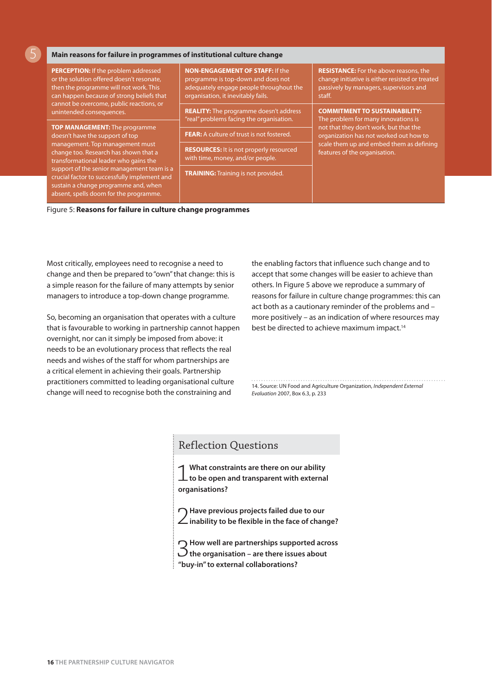**Main reasons for failure in programmes of institutional culture change**

5

| <b>PERCEPTION:</b> If the problem addressed<br>or the solution offered doesn't resonate,<br>then the programme will not work. This<br>can happen because of strong beliefs that                                                                                                            | <b>NON-ENGAGEMENT OF STAFF: If the</b><br>programme is top-down and does not<br>adequately engage people throughout the<br>organisation, it inevitably fails. | <b>RESISTANCE:</b> For the above reasons, the<br>change initiative is either resisted or treated<br>passively by managers, supervisors and<br>staff.                                                                                         |
|--------------------------------------------------------------------------------------------------------------------------------------------------------------------------------------------------------------------------------------------------------------------------------------------|---------------------------------------------------------------------------------------------------------------------------------------------------------------|----------------------------------------------------------------------------------------------------------------------------------------------------------------------------------------------------------------------------------------------|
| cannot be overcome, public reactions, or<br>unintended consequences.                                                                                                                                                                                                                       | <b>REALITY:</b> The programme doesn't address<br>"real" problems facing the organisation.                                                                     | <b>COMMITMENT TO SUSTAINABILITY:</b><br>The problem for many innovations is<br>not that they don't work, but that the<br>organization has not worked out how to<br>scale them up and embed them as defining<br>features of the organisation. |
| <b>TOP MANAGEMENT:</b> The programme<br>doesn't have the support of top<br>management. Top management must<br>change too. Research has shown that a<br>transformational leader who gains the<br>support of the senior management team is a<br>crucial factor to successfully implement and | <b>FEAR:</b> A culture of trust is not fostered.                                                                                                              |                                                                                                                                                                                                                                              |
|                                                                                                                                                                                                                                                                                            | <b>RESOURCES:</b> It is not properly resourced<br>with time, money, and/or people.                                                                            |                                                                                                                                                                                                                                              |
|                                                                                                                                                                                                                                                                                            | <b>TRAINING:</b> Training is not provided.                                                                                                                    |                                                                                                                                                                                                                                              |
| sustain a change programme and, when<br>absent, spells doom for the programme.                                                                                                                                                                                                             |                                                                                                                                                               |                                                                                                                                                                                                                                              |

Figure 5: **Reasons for failure in culture change programmes**

Most critically, employees need to recognise a need to change and then be prepared to "own" that change: this is a simple reason for the failure of many attempts by senior managers to introduce a top-down change programme.

So, becoming an organisation that operates with a culture that is favourable to working in partnership cannot happen overnight, nor can it simply be imposed from above: it needs to be an evolutionary process that reflects the real needs and wishes of the staff for whom partnerships are a critical element in achieving their goals. Partnership practitioners committed to leading organisational culture change will need to recognise both the constraining and

the enabling factors that influence such change and to accept that some changes will be easier to achieve than others. In Figure 5 above we reproduce a summary of reasons for failure in culture change programmes: this can act both as a cautionary reminder of the problems and – more positively – as an indication of where resources may best be directed to achieve maximum impact.<sup>14</sup>

14. Source: UN Food and Agriculture Organization, Independent External Evaluation 2007, Box 6.3, p. 233

#### Reflection Questions

1**What constraints are there on our ability**   $\perp$  to be open and transparent with external **organisations?**

2**Have previous projects failed due to our inability to be flexible in the face of change?** 

3**How well are partnerships supported across the organisation – are there issues about "buy-in" to external collaborations?**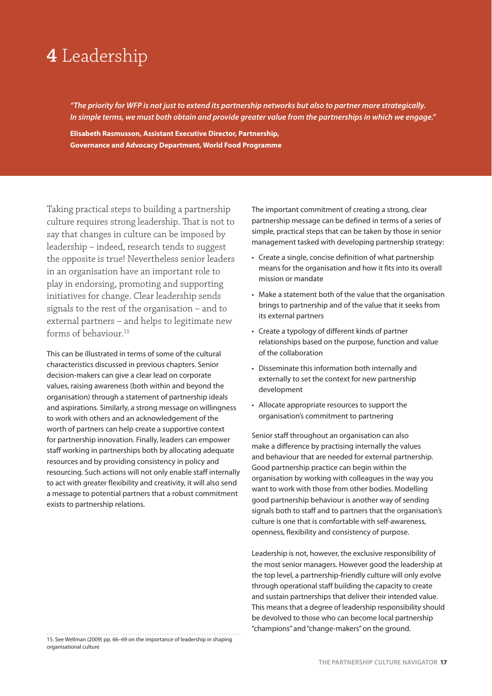## **4** Leadership

*"The priority for WFP is not just to extend its partnership networks but also to partner more strategically. In simple terms, we must both obtain and provide greater value from the partnerships in which we engage."*

**Elisabeth Rasmusson, Assistant Executive Director, Partnership, Governance and Advocacy Department, World Food Programme**

Taking practical steps to building a partnership culture requires strong leadership. That is not to say that changes in culture can be imposed by leadership – indeed, research tends to suggest the opposite is true! Nevertheless senior leaders in an organisation have an important role to play in endorsing, promoting and supporting initiatives for change. Clear leadership sends signals to the rest of the organisation – and to external partners – and helps to legitimate new forms of behaviour<sup>15</sup>

This can be illustrated in terms of some of the cultural characteristics discussed in previous chapters. Senior decision-makers can give a clear lead on corporate values, raising awareness (both within and beyond the organisation) through a statement of partnership ideals and aspirations. Similarly, a strong message on willingness to work with others and an acknowledgement of the worth of partners can help create a supportive context for partnership innovation. Finally, leaders can empower staff working in partnerships both by allocating adequate resources and by providing consistency in policy and resourcing. Such actions will not only enable staff internally to act with greater flexibility and creativity, it will also send a message to potential partners that a robust commitment exists to partnership relations.

15. See Wellman (2009) pp. 66–69 on the importance of leadership in shaping organisational culture

The important commitment of creating a strong, clear partnership message can be defined in terms of a series of simple, practical steps that can be taken by those in senior management tasked with developing partnership strategy:

- Create a single, concise definition of what partnership means for the organisation and how it fits into its overall mission or mandate
- Make a statement both of the value that the organisation brings to partnership and of the value that it seeks from its external partners
- Create a typology of different kinds of partner relationships based on the purpose, function and value of the collaboration
- Disseminate this information both internally and externally to set the context for new partnership development
- Allocate appropriate resources to support the organisation's commitment to partnering

Senior staff throughout an organisation can also make a difference by practising internally the values and behaviour that are needed for external partnership. Good partnership practice can begin within the organisation by working with colleagues in the way you want to work with those from other bodies. Modelling good partnership behaviour is another way of sending signals both to staff and to partners that the organisation's culture is one that is comfortable with self-awareness, openness, flexibility and consistency of purpose.

Leadership is not, however, the exclusive responsibility of the most senior managers. However good the leadership at the top level, a partnership-friendly culture will only evolve through operational staff building the capacity to create and sustain partnerships that deliver their intended value. This means that a degree of leadership responsibility should be devolved to those who can become local partnership "champions" and "change-makers" on the ground.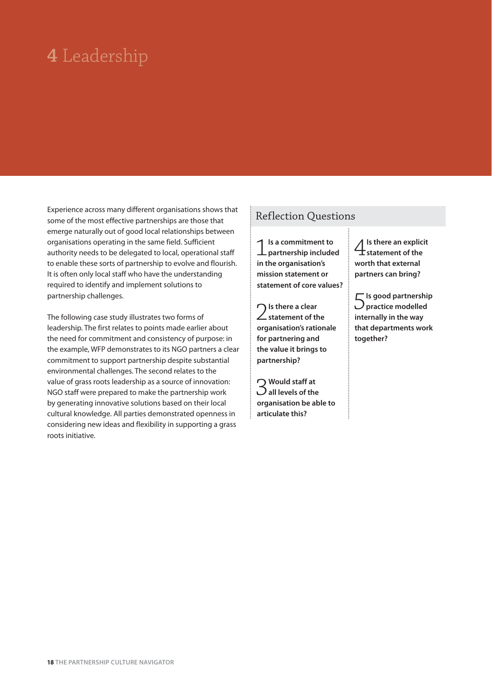# **4** Leadership

Experience across many different organisations shows that some of the most effective partnerships are those that emerge naturally out of good local relationships between organisations operating in the same field. Sufficient authority needs to be delegated to local, operational staff to enable these sorts of partnership to evolve and flourish. It is often only local staff who have the understanding required to identify and implement solutions to partnership challenges.

The following case study illustrates two forms of leadership. The first relates to points made earlier about the need for commitment and consistency of purpose: in the example, WFP demonstrates to its NGO partners a clear commitment to support partnership despite substantial environmental challenges. The second relates to the value of grass roots leadership as a source of innovation: NGO staff were prepared to make the partnership work by generating innovative solutions based on their local cultural knowledge. All parties demonstrated openness in considering new ideas and flexibility in supporting a grass roots initiative.

### Reflection Questions

1**Is a commitment to partnership included in the organisation's mission statement or statement of core values?**

2**Is there a clear statement of the organisation's rationale for partnering and the value it brings to partnership?**

3**Would staff at all levels of the organisation be able to articulate this?**

4**Is there an explicit**   $\pm$ statement of the **worth that external partners can bring?**

5**Is good partnership practice modelled internally in the way that departments work together?**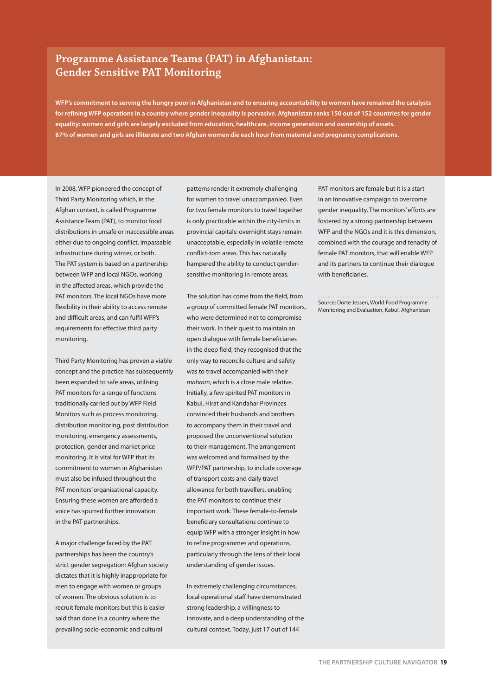### **Programme Assistance Teams (PAT) in Afghanistan: Gender Sensitive PAT Monitoring**

**WFP's commitment to serving the hungry poor in Afghanistan and to ensuring accountability to women have remained the catalysts for refining WFP operations in a country where gender inequality is pervasive. Afghanistan ranks 150 out of 152 countries for gender equality: women and girls are largely excluded from education, healthcare, income generation and ownership of assets. 87% of women and girls are illiterate and two Afghan women die each hour from maternal and pregnancy complications.**

In 2008, WFP pioneered the concept of Third Party Monitoring which, in the Afghan context, is called Programme Assistance Team (PAT), to monitor food distributions in unsafe or inaccessible areas either due to ongoing conflict, impassable infrastructure during winter, or both. The PAT system is based on a partnership between WFP and local NGOs, working in the affected areas, which provide the PAT monitors. The local NGOs have more flexibility in their ability to access remote and difficult areas, and can fulfil WFP's requirements for effective third party monitoring.

Third Party Monitoring has proven a viable concept and the practice has subsequently been expanded to safe areas, utilising PAT monitors for a range of functions traditionally carried out by WFP Field Monitors such as process monitoring, distribution monitoring, post distribution monitoring, emergency assessments, protection, gender and market price monitoring. It is vital for WFP that its commitment to women in Afghanistan must also be infused throughout the PAT monitors' organisational capacity. Ensuring these women are afforded a voice has spurred further innovation in the PAT partnerships.

A major challenge faced by the PAT partnerships has been the country's strict gender segregation: Afghan society dictates that it is highly inappropriate for men to engage with women or groups of women. The obvious solution is to recruit female monitors but this is easier said than done in a country where the prevailing socio-economic and cultural

patterns render it extremely challenging for women to travel unaccompanied. Even for two female monitors to travel together is only practicable within the city-limits in provincial capitals: overnight stays remain unacceptable, especially in volatile remote conflict-torn areas. This has naturally hampered the ability to conduct gendersensitive monitoring in remote areas.

The solution has come from the field, from a group of committed female PAT monitors who were determined not to compromise their work. In their quest to maintain an open dialogue with female beneficiaries in the deep field, they recognised that the only way to reconcile culture and safety was to travel accompanied with their mahram, which is a close male relative. Initially, a few spirited PAT monitors in Kabul, Hirat and Kandahar Provinces convinced their husbands and brothers to accompany them in their travel and proposed the unconventional solution to their management. The arrangement was welcomed and formalised by the WFP/PAT partnership, to include coverage of transport costs and daily travel allowance for both travellers, enabling the PAT monitors to continue their important work. These female-to-female beneficiary consultations continue to equip WFP with a stronger insight in how to refine programmes and operations, particularly through the lens of their local understanding of gender issues.

In extremely challenging circumstances, local operational staff have demonstrated strong leadership, a willingness to innovate, and a deep understanding of the cultural context. Today, just 17 out of 144

PAT monitors are female but it is a start in an innovative campaign to overcome gender inequality. The monitors' efforts are fostered by a strong partnership between WFP and the NGOs and it is this dimension, combined with the courage and tenacity of female PAT monitors, that will enable WFP and its partners to continue their dialogue with beneficiaries.

Source: Dorte Jessen, World Food Programme Monitoring and Evaluation, Kabul, Afghanistan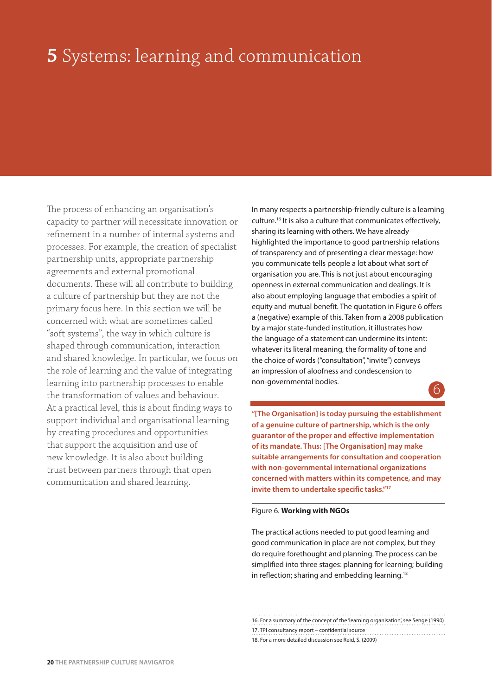# **5** Systems: learning and communication

The process of enhancing an organisation's capacity to partner will necessitate innovation or refinement in a number of internal systems and processes. For example, the creation of specialist partnership units, appropriate partnership agreements and external promotional documents. These will all contribute to building a culture of partnership but they are not the primary focus here. In this section we will be concerned with what are sometimes called "soft systems", the way in which culture is shaped through communication, interaction and shared knowledge. In particular, we focus on the role of learning and the value of integrating learning into partnership processes to enable the transformation of values and behaviour. At a practical level, this is about finding ways to support individual and organisational learning by creating procedures and opportunities that support the acquisition and use of new knowledge. It is also about building trust between partners through that open communication and shared learning.

In many respects a partnership-friendly culture is a learning culture.16 It is also a culture that communicates effectively, sharing its learning with others. We have already highlighted the importance to good partnership relations of transparency and of presenting a clear message: how you communicate tells people a lot about what sort of organisation you are. This is not just about encouraging openness in external communication and dealings. It is also about employing language that embodies a spirit of equity and mutual benefit. The quotation in Figure 6 offers a (negative) example of this. Taken from a 2008 publication by a major state-funded institution, it illustrates how the language of a statement can undermine its intent: whatever its literal meaning, the formality of tone and the choice of words ("consultation", "invite") conveys an impression of aloofness and condescension to non-governmental bodies. 6

**"[The Organisation] is today pursuing the establishment of a genuine culture of partnership, which is the only guarantor of the proper and effective implementation of its mandate. Thus: [The Organisation] may make suitable arrangements for consultation and cooperation with non-governmental international organizations concerned with matters within its competence, and may invite them to undertake specific tasks."17**

#### Figure 6. **Working with NGOs**

The practical actions needed to put good learning and good communication in place are not complex, but they do require forethought and planning. The process can be simplified into three stages: planning for learning; building in reflection; sharing and embedding learning.<sup>18</sup>

16. For a summary of the concept of the 'learning organisation', see Senge (1990) 17. TPI consultancy report – confidential source 18. For a more detailed discussion see Reid, S. (2009)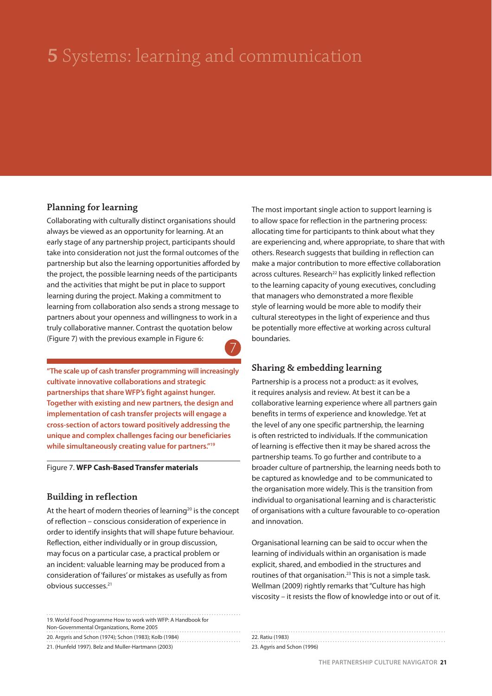# **5** Systems: learning and communication

#### **Planning for learning**

Collaborating with culturally distinct organisations should always be viewed as an opportunity for learning. At an early stage of any partnership project, participants should take into consideration not just the formal outcomes of the partnership but also the learning opportunities afforded by the project, the possible learning needs of the participants and the activities that might be put in place to support learning during the project. Making a commitment to learning from collaboration also sends a strong message to partners about your openness and willingness to work in a truly collaborative manner. Contrast the quotation below (Figure 7) with the previous example in Figure 6: 7

**"The scale up of cash transfer programming will increasingly cultivate innovative collaborations and strategic partnerships that share WFP's fight against hunger. Together with existing and new partners, the design and implementation of cash transfer projects will engage a cross-section of actors toward positively addressing the unique and complex challenges facing our beneficiaries while simultaneously creating value for partners."19**

#### Figure 7. **WFP Cash-Based Transfer materials**

#### **Building in reflection**

At the heart of modern theories of learning<sup>20</sup> is the concept of reflection – conscious consideration of experience in order to identify insights that will shape future behaviour. Reflection, either individually or in group discussion, may focus on a particular case, a practical problem or an incident: valuable learning may be produced from a consideration of 'failures' or mistakes as usefully as from obvious successes.21

| 19. World Food Programme How to work with WFP: A Handbook for |
|---------------------------------------------------------------|
| Non-Governmental Organizations, Rome 2005                     |
| 20. Argyris and Schon (1974); Schon (1983); Kolb (1984)       |
| 21. (Hunfeld 1997). Belz and Muller-Hartmann (2003)           |

The most important single action to support learning is to allow space for reflection in the partnering process: allocating time for participants to think about what they are experiencing and, where appropriate, to share that with others. Research suggests that building in reflection can make a major contribution to more effective collaboration across cultures. Research<sup>22</sup> has explicitly linked reflection to the learning capacity of young executives, concluding that managers who demonstrated a more flexible style of learning would be more able to modify their cultural stereotypes in the light of experience and thus be potentially more effective at working across cultural boundaries.

### **Sharing & embedding learning**

Partnership is a process not a product: as it evolves, it requires analysis and review. At best it can be a collaborative learning experience where all partners gain benefits in terms of experience and knowledge. Yet at the level of any one specific partnership, the learning is often restricted to individuals. If the communication of learning is effective then it may be shared across the partnership teams. To go further and contribute to a broader culture of partnership, the learning needs both to be captured as knowledge and to be communicated to the organisation more widely. This is the transition from individual to organisational learning and is characteristic of organisations with a culture favourable to co-operation and innovation.

Organisational learning can be said to occur when the learning of individuals within an organisation is made explicit, shared, and embodied in the structures and routines of that organisation.23 This is not a simple task. Wellman (2009) rightly remarks that "Culture has high viscosity – it resists the flow of knowledge into or out of it.

#### 22. Ratiu (1983) 23. Agyris and Schon (1996)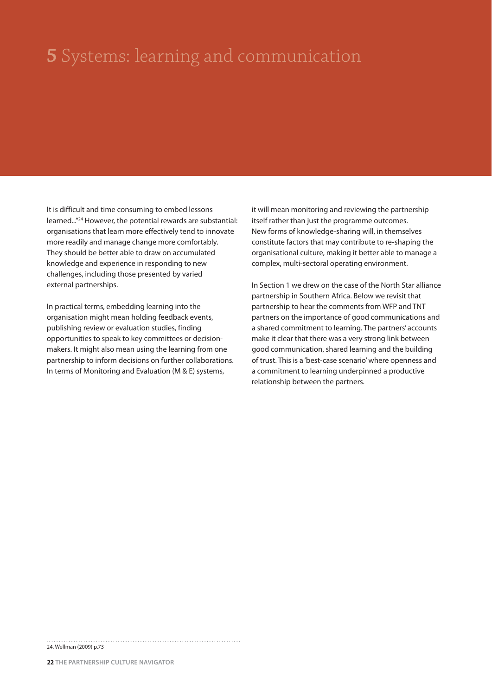# **5** Systems: learning and communication

It is difficult and time consuming to embed lessons learned..."24 However, the potential rewards are substantial: organisations that learn more effectively tend to innovate more readily and manage change more comfortably. They should be better able to draw on accumulated knowledge and experience in responding to new challenges, including those presented by varied external partnerships.

In practical terms, embedding learning into the organisation might mean holding feedback events, publishing review or evaluation studies, finding opportunities to speak to key committees or decisionmakers. It might also mean using the learning from one partnership to inform decisions on further collaborations. In terms of Monitoring and Evaluation (M & E) systems,

it will mean monitoring and reviewing the partnership itself rather than just the programme outcomes. New forms of knowledge-sharing will, in themselves constitute factors that may contribute to re-shaping the organisational culture, making it better able to manage a complex, multi-sectoral operating environment.

In Section 1 we drew on the case of the North Star alliance partnership in Southern Africa. Below we revisit that partnership to hear the comments from WFP and TNT partners on the importance of good communications and a shared commitment to learning. The partners' accounts make it clear that there was a very strong link between good communication, shared learning and the building of trust. This is a 'best-case scenario' where openness and a commitment to learning underpinned a productive relationship between the partners.

24. Wellman (2009) p.73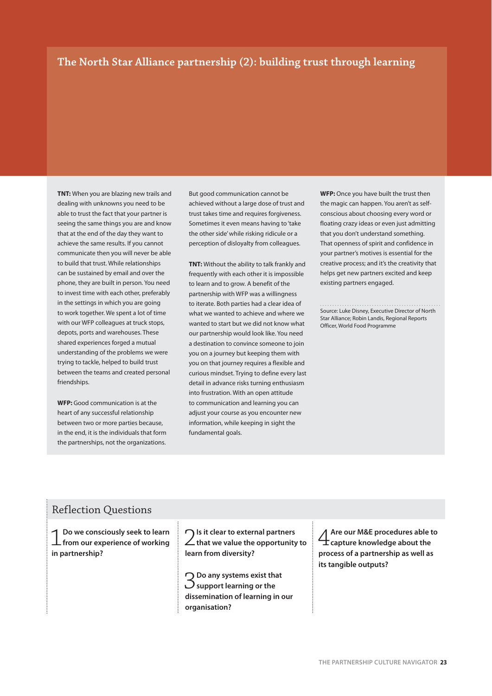### **The North Star Alliance partnership (2): building trust through learning**

**TNT:** When you are blazing new trails and dealing with unknowns you need to be able to trust the fact that your partner is seeing the same things you are and know that at the end of the day they want to achieve the same results. If you cannot communicate then you will never be able to build that trust. While relationships can be sustained by email and over the phone, they are built in person. You need to invest time with each other, preferably in the settings in which you are going to work together. We spent a lot of time with our WFP colleagues at truck stops, depots, ports and warehouses. These shared experiences forged a mutual understanding of the problems we were trying to tackle, helped to build trust between the teams and created personal friendships.

**WFP:** Good communication is at the heart of any successful relationship between two or more parties because, in the end, it is the individuals that form the partnerships, not the organizations. But good communication cannot be achieved without a large dose of trust and trust takes time and requires forgiveness. Sometimes it even means having to 'take the other side' while risking ridicule or a perception of disloyalty from colleagues.

**TNT:** Without the ability to talk frankly and frequently with each other it is impossible to learn and to grow. A benefit of the partnership with WFP was a willingness to iterate. Both parties had a clear idea of what we wanted to achieve and where we wanted to start but we did not know what our partnership would look like. You need a destination to convince someone to join you on a journey but keeping them with you on that journey requires a flexible and curious mindset. Trying to define every last detail in advance risks turning enthusiasm into frustration. With an open attitude to communication and learning you can adjust your course as you encounter new information, while keeping in sight the fundamental goals.

**WFP:** Once you have built the trust then the magic can happen. You aren't as selfconscious about choosing every word or floating crazy ideas or even just admitting that you don't understand something. That openness of spirit and confidence in your partner's motives is essential for the creative process; and it's the creativity that helps get new partners excited and keep existing partners engaged.

Source: Luke Disney, Executive Director of North Star Alliance; Robin Landis, Regional Reports Officer, World Food Programme

### Reflection Questions

1 **Do we consciously seek to learn from our experience of working in partnership?**

2 **Is it clear to external partners that we value the opportunity to learn from diversity?**

3 **Do any systems exist that support learning or the dissemination of learning in our organisation?**

4 **Are our M&E procedures able to capture knowledge about the process of a partnership as well as its tangible outputs?**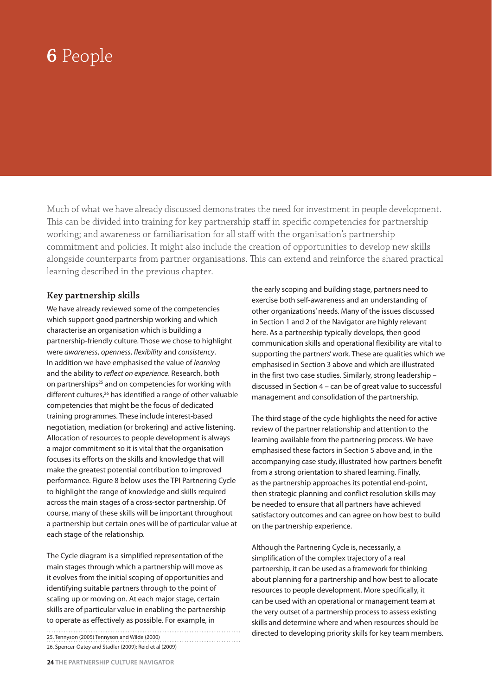Much of what we have already discussed demonstrates the need for investment in people development. This can be divided into training for key partnership staff in specific competencies for partnership working; and awareness or familiarisation for all staff with the organisation's partnership commitment and policies. It might also include the creation of opportunities to develop new skills alongside counterparts from partner organisations. This can extend and reinforce the shared practical learning described in the previous chapter.

### **Key partnership skills**

We have already reviewed some of the competencies which support good partnership working and which characterise an organisation which is building a partnership-friendly culture. Those we chose to highlight were awareness, openness, flexibility and consistency. In addition we have emphasised the value of learning and the ability to reflect on experience. Research, both on partnerships<sup>25</sup> and on competencies for working with different cultures,26 has identified a range of other valuable competencies that might be the focus of dedicated training programmes. These include interest-based negotiation, mediation (or brokering) and active listening. Allocation of resources to people development is always a major commitment so it is vital that the organisation focuses its efforts on the skills and knowledge that will make the greatest potential contribution to improved performance. Figure 8 below uses the TPI Partnering Cycle to highlight the range of knowledge and skills required across the main stages of a cross-sector partnership. Of course, many of these skills will be important throughout a partnership but certain ones will be of particular value at each stage of the relationship.

The Cycle diagram is a simplified representation of the main stages through which a partnership will move as it evolves from the initial scoping of opportunities and identifying suitable partners through to the point of scaling up or moving on. At each major stage, certain skills are of particular value in enabling the partnership to operate as effectively as possible. For example, in

25. Tennyson (2005) Tennyson and Wilde (2000) 26. Spencer-Oatey and Stadler (2009); Reid et al (2009) the early scoping and building stage, partners need to exercise both self-awareness and an understanding of other organizations' needs. Many of the issues discussed in Section 1 and 2 of the Navigator are highly relevant here. As a partnership typically develops, then good communication skills and operational flexibility are vital to supporting the partners' work. These are qualities which we emphasised in Section 3 above and which are illustrated in the first two case studies. Similarly, strong leadership – discussed in Section 4 – can be of great value to successful management and consolidation of the partnership.

The third stage of the cycle highlights the need for active review of the partner relationship and attention to the learning available from the partnering process. We have emphasised these factors in Section 5 above and, in the accompanying case study, illustrated how partners benefit from a strong orientation to shared learning. Finally, as the partnership approaches its potential end-point, then strategic planning and conflict resolution skills may be needed to ensure that all partners have achieved satisfactory outcomes and can agree on how best to build on the partnership experience.

Although the Partnering Cycle is, necessarily, a simplification of the complex trajectory of a real partnership, it can be used as a framework for thinking about planning for a partnership and how best to allocate resources to people development. More specifically, it can be used with an operational or management team at the very outset of a partnership process to assess existing skills and determine where and when resources should be directed to developing priority skills for key team members.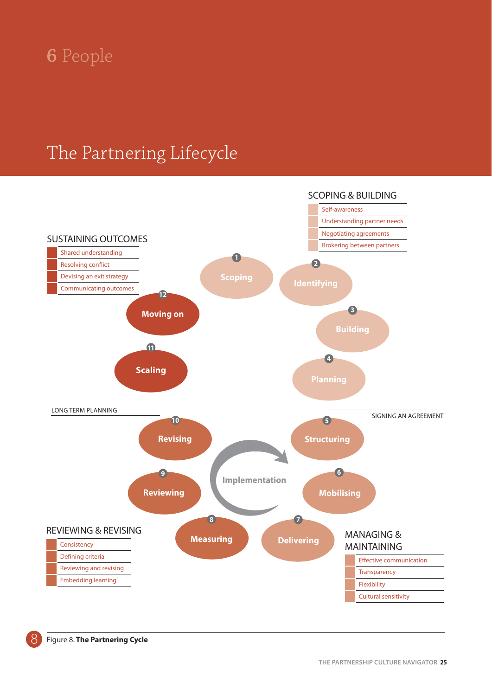### The Partnering Lifecycle

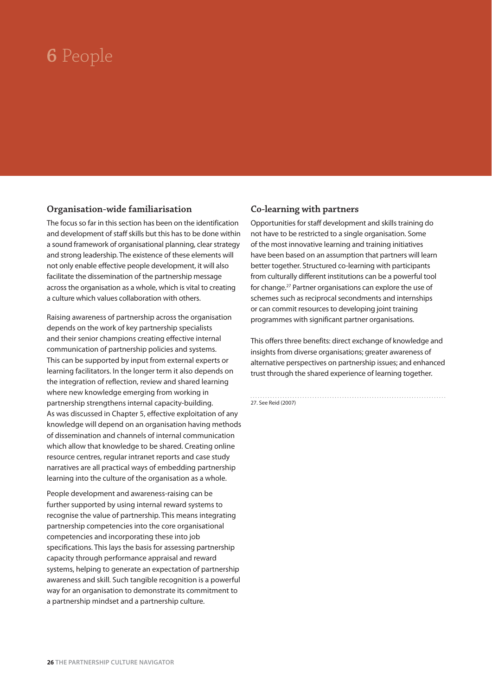#### **Organisation-wide familiarisation**

The focus so far in this section has been on the identification and development of staff skills but this has to be done within a sound framework of organisational planning, clear strategy and strong leadership. The existence of these elements will not only enable effective people development, it will also facilitate the dissemination of the partnership message across the organisation as a whole, which is vital to creating a culture which values collaboration with others.

Raising awareness of partnership across the organisation depends on the work of key partnership specialists and their senior champions creating effective internal communication of partnership policies and systems. This can be supported by input from external experts or learning facilitators. In the longer term it also depends on the integration of reflection, review and shared learning where new knowledge emerging from working in partnership strengthens internal capacity-building. As was discussed in Chapter 5, effective exploitation of any knowledge will depend on an organisation having methods of dissemination and channels of internal communication which allow that knowledge to be shared. Creating online resource centres, regular intranet reports and case study narratives are all practical ways of embedding partnership learning into the culture of the organisation as a whole.

People development and awareness-raising can be further supported by using internal reward systems to recognise the value of partnership. This means integrating partnership competencies into the core organisational competencies and incorporating these into job specifications. This lays the basis for assessing partnership capacity through performance appraisal and reward systems, helping to generate an expectation of partnership awareness and skill. Such tangible recognition is a powerful way for an organisation to demonstrate its commitment to a partnership mindset and a partnership culture.

### **Co-learning with partners**

Opportunities for staff development and skills training do not have to be restricted to a single organisation. Some of the most innovative learning and training initiatives have been based on an assumption that partners will learn better together. Structured co-learning with participants from culturally different institutions can be a powerful tool for change.27 Partner organisations can explore the use of schemes such as reciprocal secondments and internships or can commit resources to developing joint training programmes with significant partner organisations.

This offers three benefits: direct exchange of knowledge and insights from diverse organisations; greater awareness of alternative perspectives on partnership issues; and enhanced trust through the shared experience of learning together.

27. See Reid (2007)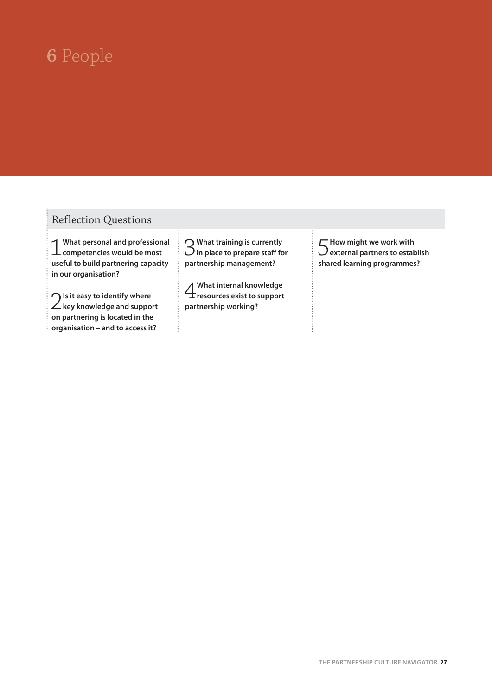### Reflection Questions

1**What personal and professional competencies would be most useful to build partnering capacity in our organisation?**

2**Is it easy to identify where key knowledge and support on partnering is located in the organisation – and to access it?**

ŧ

3**What training is currently in place to prepare staff for partnership management?**

4**What internal knowledge resources exist to support partnership working?**

5**How might we work with external partners to establish shared learning programmes?**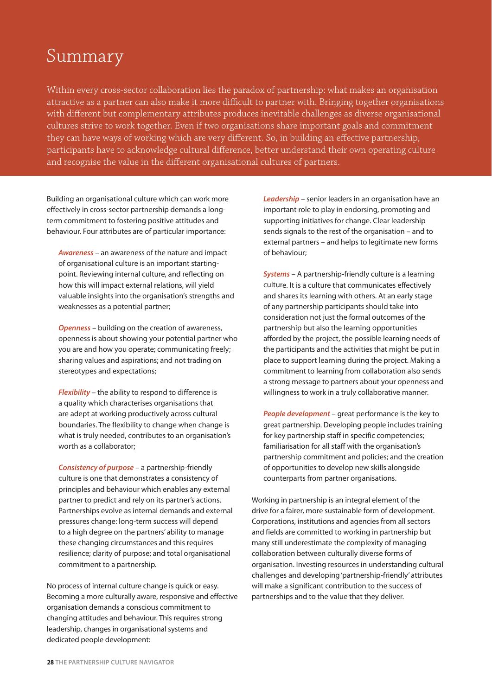### Summary

Within every cross-sector collaboration lies the paradox of partnership: what makes an organisation attractive as a partner can also make it more difficult to partner with. Bringing together organisations with different but complementary attributes produces inevitable challenges as diverse organisational cultures strive to work together. Even if two organisations share important goals and commitment they can have ways of working which are very different. So, in building an effective partnership, participants have to acknowledge cultural difference, better understand their own operating culture and recognise the value in the different organisational cultures of partners.

Building an organisational culture which can work more effectively in cross-sector partnership demands a longterm commitment to fostering positive attitudes and behaviour. Four attributes are of particular importance:

*Awareness* – an awareness of the nature and impact of organisational culture is an important startingpoint. Reviewing internal culture, and reflecting on how this will impact external relations, will yield valuable insights into the organisation's strengths and weaknesses as a potential partner;

*Openness* – building on the creation of awareness, openness is about showing your potential partner who you are and how you operate; communicating freely; sharing values and aspirations; and not trading on stereotypes and expectations;

*Flexibility* – the ability to respond to difference is a quality which characterises organisations that are adept at working productively across cultural boundaries. The flexibility to change when change is what is truly needed, contributes to an organisation's worth as a collaborator;

*Consistency of purpose* – a partnership-friendly culture is one that demonstrates a consistency of principles and behaviour which enables any external partner to predict and rely on its partner's actions. Partnerships evolve as internal demands and external pressures change: long-term success will depend to a high degree on the partners' ability to manage these changing circumstances and this requires resilience; clarity of purpose; and total organisational commitment to a partnership.

No process of internal culture change is quick or easy. Becoming a more culturally aware, responsive and effective organisation demands a conscious commitment to changing attitudes and behaviour. This requires strong leadership, changes in organisational systems and dedicated people development:

*Leadership* – senior leaders in an organisation have an important role to play in endorsing, promoting and supporting initiatives for change. Clear leadership sends signals to the rest of the organisation – and to external partners – and helps to legitimate new forms of behaviour;

*Systems* – A partnership-friendly culture is a learning culture. It is a culture that communicates effectively and shares its learning with others. At an early stage of any partnership participants should take into consideration not just the formal outcomes of the partnership but also the learning opportunities afforded by the project, the possible learning needs of the participants and the activities that might be put in place to support learning during the project. Making a commitment to learning from collaboration also sends a strong message to partners about your openness and willingness to work in a truly collaborative manner.

*People development* – great performance is the key to great partnership. Developing people includes training for key partnership staff in specific competencies; familiarisation for all staff with the organisation's partnership commitment and policies; and the creation of opportunities to develop new skills alongside counterparts from partner organisations.

Working in partnership is an integral element of the drive for a fairer, more sustainable form of development. Corporations, institutions and agencies from all sectors and fields are committed to working in partnership but many still underestimate the complexity of managing collaboration between culturally diverse forms of organisation. Investing resources in understanding cultural challenges and developing 'partnership-friendly' attributes will make a significant contribution to the success of partnerships and to the value that they deliver.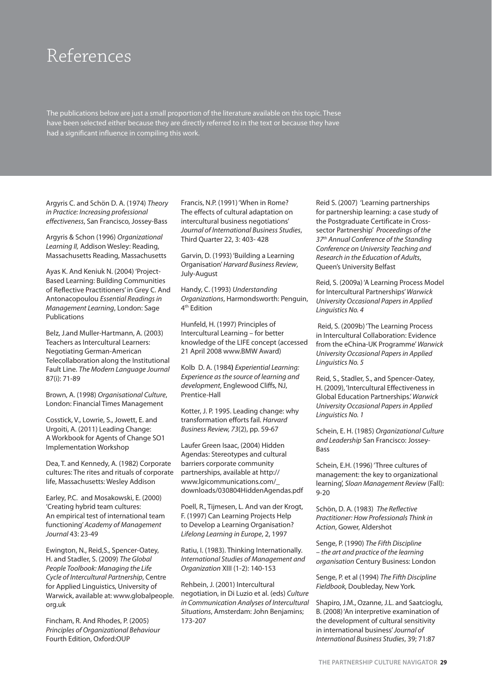### References

The publications below are just a small proportion of the literature available on this topic. These have been selected either because they are directly referred to in the text or because they have had a significant influence in compiling this work.

Argyris C. and Schön D. A. (1974) Theory in Practice: Increasing professional effectiveness, San Francisco, Jossey-Bass

Argyris & Schon (1996) Organizational Learning II, Addison Wesley: Reading, Massachusetts Reading, Massachusetts

Ayas K. And Keniuk N. (2004) 'Project-Based Learning: Building Communities of Reflective Practitioners' in Grey C. And Antonacopoulou Essential Readings in Management Learning, London: Sage Publications

Belz, J.and Muller-Hartmann, A. (2003) Teachers as Intercultural Learners: Negotiating German-American Telecollaboration along the Institutional Fault Line. The Modern Language Journal 87(i): 71-89

Brown, A. (1998) Organisational Culture, London: Financial Times Management

Cosstick, V., Lowrie, S., Jowett, E. and Urgoiti, A. (2011) Leading Change: A Workbook for Agents of Change SO1 Implementation Workshop

Dea, T. and Kennedy, A. (1982) Corporate cultures: The rites and rituals of corporate life, Massachusetts: Wesley Addison

Earley, P.C. and Mosakowski, E. (2000) 'Creating hybrid team cultures: An empirical test of international team functioning' Academy of Management Journal 43: 23-49

Ewington, N., Reid,S., Spencer-Oatey, H. and Stadler, S. (2009) The Global People Toolbook: Managing the Life Cycle of Intercultural Partnership, Centre for Applied Linguistics, University of Warwick, available at: www.globalpeople. org.uk

Fincham, R. And Rhodes, P. (2005) Principles of Organizational Behaviour Fourth Edition, Oxford:OUP

Francis, N.P. (1991) 'When in Rome? The effects of cultural adaptation on intercultural business negotiations' Journal of International Business Studies, Third Quarter 22, 3: 403- 428

Garvin, D. (1993) 'Building a Learning Organisation' Harvard Business Review, July-August

Handy, C. (1993) Understanding Organizations, Harmondsworth: Penguin, 4th Edition

Hunfeld, H. (1997) Principles of Intercultural Learning – for better knowledge of the LIFE concept (accessed 21 April 2008 www.BMW Award)

Kolb D. A. (1984**)** Experiential Learning: Experience as the source of learning and development, Englewood Cliffs, NJ, Prentice-Hall

Kotter, J. P. 1995. Leading change: why transformation efforts fail. Harvard Business Review, 73(2), pp. 59-67

Laufer Green Isaac, (2004) Hidden Agendas: Stereotypes and cultural barriers corporate community partnerships, available at http:// www.lgicommunications.com/\_ downloads/030804HiddenAgendas.pdf

Poell, R., Tijmesen, L. And van der Krogt, F. (1997) Can Learning Projects Help to Develop a Learning Organisation? Lifelong Learning in Europe, 2, 1997

Ratiu, I. (1983). Thinking Internationally. International Studies of Management and Organization XIII (1-2): 140-153

Rehbein, J. (2001) Intercultural negotiation, in Di Luzio et al. (eds) Culture in Communication Analyses of Intercultural Situations, Amsterdam: John Benjamins; 173-207

Reid S. (2007) 'Learning partnerships for partnership learning: a case study of the Postgraduate Certificate in Crosssector Partnership' Proceedings of the 37<sup>th</sup> Annual Conference of the Standing Conference on University Teaching and Research in the Education of Adults, Queen's University Belfast

Reid, S. (2009a) 'A Learning Process Model for Intercultural Partnerships' Warwick University Occasional Papers in Applied Linguistics No. 4

 Reid, S. (2009b) 'The Learning Process in Intercultural Collaboration: Evidence from the eChina-UK Programme' Warwick University Occasional Papers in Applied Linguistics No. 5

Reid, S., Stadler, S., and Spencer-Oatey, H. (2009), 'Intercultural Effectiveness in Global Education Partnerships.' Warwick University Occasional Papers in Applied Linguistics No. 1

Schein, E. H. (1985) Organizational Culture and Leadership San Francisco: Jossey-Bass

Schein, E.H. (1996) 'Three cultures of management: the key to organizational learning', Sloan Management Review (Fall): 9-20

Schön, D. A. (1983) The Reflective Practitioner: How Professionals Think in Action, Gower, Aldershot

Senge, P. (1990) The Fifth Discipline – the art and practice of the learning organisation Century Business: London

Senge, P. et al (1994) The Fifth Discipline Fieldbook, Doubleday, New York.

Shapiro, J.M., Ozanne, J.L. and Saatcioglu, B. (2008) 'An interpretive examination of the development of cultural sensitivity in international business' Journal of International Business Studies, 39; 71:87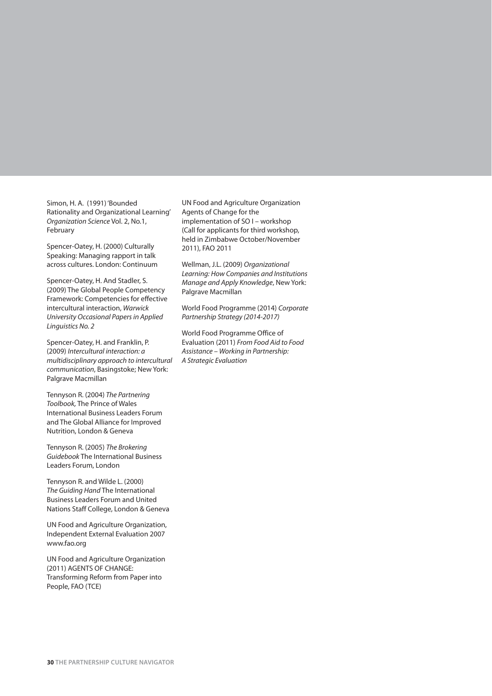Simon, H. A. (1991) 'Bounded Rationality and Organizational Learning' Organization Science Vol. 2, No.1, February

Spencer-Oatey, H. (2000) Culturally Speaking: Managing rapport in talk across cultures. London: Continuum

Spencer-Oatey, H. And Stadler, S. (2009) The Global People Competency Framework: Competencies for effective intercultural interaction, Warwick University Occasional Papers in Applied Linguistics No. 2

Spencer-Oatey, H. and Franklin, P. (2009) Intercultural interaction: a multidisciplinary approach to intercultural communication, Basingstoke; New York: Palgrave Macmillan

Tennyson R. (2004) The Partnering Toolbook, The Prince of Wales International Business Leaders Forum and The Global Alliance for Improved Nutrition, London & Geneva

Tennyson R. (2005) The Brokering Guidebook The International Business Leaders Forum, London

Tennyson R. and Wilde L. (2000) The Guiding Hand The International Business Leaders Forum and United Nations Staff College, London & Geneva

UN Food and Agriculture Organization, Independent External Evaluation 2007 www.fao.org

UN Food and Agriculture Organization (2011) AGENTS OF CHANGE: Transforming Reform from Paper into People, FAO (TCE)

UN Food and Agriculture Organization Agents of Change for the implementation of SO I – workshop (Call for applicants for third workshop, held in Zimbabwe October/November 2011), FAO 2011

Wellman, J.L. (2009) Organizational Learning: How Companies and Institutions Manage and Apply Knowledge, New York: Palgrave Macmillan

World Food Programme (2014) Corporate Partnership Strategy (2014-2017)

World Food Programme Office of Evaluation (2011) From Food Aid to Food Assistance – Working in Partnership: A Strategic Evaluation